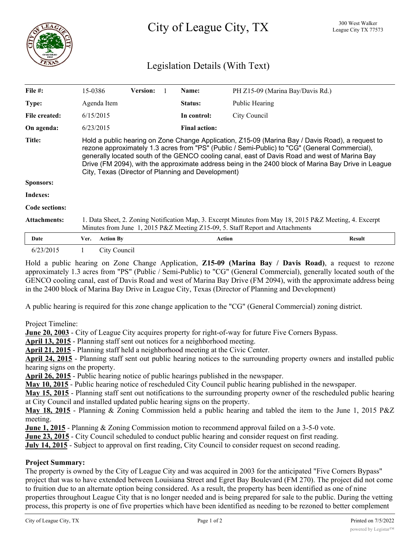

# Legislation Details (With Text)

| File $#$ :            | 15-0386                                                                                                                                                                                                                                                                                                                                                                                                                                                         | <b>Version:</b> |  | Name:                | PH Z15-09 (Marina Bay/Davis Rd.) |               |
|-----------------------|-----------------------------------------------------------------------------------------------------------------------------------------------------------------------------------------------------------------------------------------------------------------------------------------------------------------------------------------------------------------------------------------------------------------------------------------------------------------|-----------------|--|----------------------|----------------------------------|---------------|
| <b>Type:</b>          | Agenda Item                                                                                                                                                                                                                                                                                                                                                                                                                                                     |                 |  | Status:              | Public Hearing                   |               |
| File created:         | 6/15/2015                                                                                                                                                                                                                                                                                                                                                                                                                                                       |                 |  | In control:          | City Council                     |               |
| On agenda:            | 6/23/2015                                                                                                                                                                                                                                                                                                                                                                                                                                                       |                 |  | <b>Final action:</b> |                                  |               |
| <b>Title:</b>         | Hold a public hearing on Zone Change Application, Z15-09 (Marina Bay / Davis Road), a request to<br>rezone approximately 1.3 acres from "PS" (Public / Semi-Public) to "CG" (General Commercial),<br>generally located south of the GENCO cooling canal, east of Davis Road and west of Marina Bay<br>Drive (FM 2094), with the approximate address being in the 2400 block of Marina Bay Drive in League<br>City, Texas (Director of Planning and Development) |                 |  |                      |                                  |               |
| Sponsors:             |                                                                                                                                                                                                                                                                                                                                                                                                                                                                 |                 |  |                      |                                  |               |
| Indexes:              |                                                                                                                                                                                                                                                                                                                                                                                                                                                                 |                 |  |                      |                                  |               |
| <b>Code sections:</b> |                                                                                                                                                                                                                                                                                                                                                                                                                                                                 |                 |  |                      |                                  |               |
| <b>Attachments:</b>   | 1. Data Sheet, 2. Zoning Notification Map, 3. Excerpt Minutes from May 18, 2015 P&Z Meeting, 4. Excerpt<br>Minutes from June 1, 2015 P&Z Meeting Z15-09, 5. Staff Report and Attachments                                                                                                                                                                                                                                                                        |                 |  |                      |                                  |               |
| Date                  | <b>Action By</b><br>Ver.                                                                                                                                                                                                                                                                                                                                                                                                                                        |                 |  | <b>Action</b>        |                                  | <b>Result</b> |
| 6/23/2015             | City Council                                                                                                                                                                                                                                                                                                                                                                                                                                                    |                 |  |                      |                                  |               |

Hold a public hearing on Zone Change Application, **Z15-09 (Marina Bay / Davis Road)**, a request to rezone approximately 1.3 acres from "PS" (Public / Semi-Public) to "CG" (General Commercial), generally located south of the GENCO cooling canal, east of Davis Road and west of Marina Bay Drive (FM 2094), with the approximate address being in the 2400 block of Marina Bay Drive in League City, Texas (Director of Planning and Development)

A public hearing is required for this zone change application to the "CG" (General Commercial) zoning district.

Project Timeline:

**June 20, 2003** - City of League City acquires property for right-of-way for future Five Corners Bypass.

**April 13, 2015** - Planning staff sent out notices for a neighborhood meeting.

**April 21, 2015** - Planning staff held a neighborhood meeting at the Civic Center.

**April 24, 2015** - Planning staff sent out public hearing notices to the surrounding property owners and installed public hearing signs on the property.

**April 26, 2015** - Public hearing notice of public hearings published in the newspaper.

**May 10, 2015** - Public hearing notice of rescheduled City Council public hearing published in the newspaper.

**May 15, 2015** - Planning staff sent out notifications to the surrounding property owner of the rescheduled public hearing at City Council and installed updated public hearing signs on the property.

**May 18, 2015** - Planning & Zoning Commission held a public hearing and tabled the item to the June 1, 2015 P&Z meeting.

**June 1, 2015** - Planning & Zoning Commission motion to recommend approval failed on a 3-5-0 vote.

**June 23, 2015** - City Council scheduled to conduct public hearing and consider request on first reading.

**July 14, 2015** - Subject to approval on first reading, City Council to consider request on second reading.

## **Project Summary:**

The property is owned by the City of League City and was acquired in 2003 for the anticipated "Five Corners Bypass" project that was to have extended between Louisiana Street and Egret Bay Boulevard (FM 270). The project did not come to fruition due to an alternate option being considered. As a result, the property has been identified as one of nine properties throughout League City that is no longer needed and is being prepared for sale to the public. During the vetting process, this property is one of five properties which have been identified as needing to be rezoned to better complement